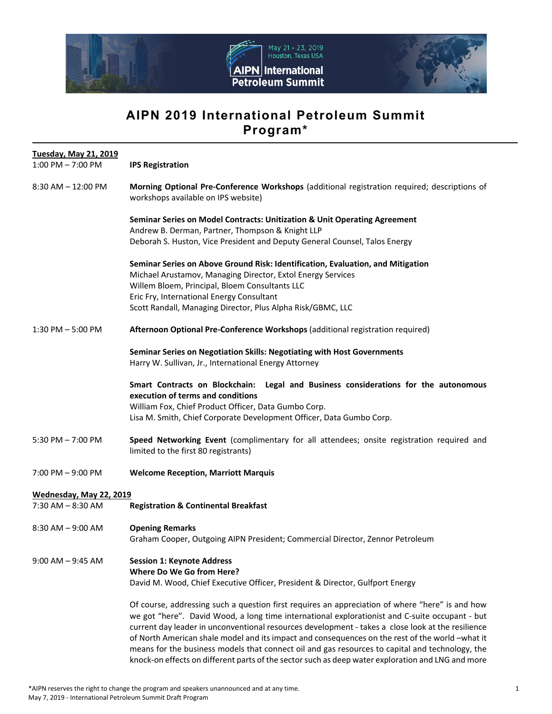

# **AIPN 2019 International Petroleum Summit Program\***

| <b>Tuesday, May 21, 2019</b> |                                                                                                                                                                                                                                                                                                                                                                                                                                                                                                                                                                                                                   |
|------------------------------|-------------------------------------------------------------------------------------------------------------------------------------------------------------------------------------------------------------------------------------------------------------------------------------------------------------------------------------------------------------------------------------------------------------------------------------------------------------------------------------------------------------------------------------------------------------------------------------------------------------------|
| $1:00$ PM $- 7:00$ PM        | <b>IPS Registration</b>                                                                                                                                                                                                                                                                                                                                                                                                                                                                                                                                                                                           |
| $8:30$ AM $- 12:00$ PM       | Morning Optional Pre-Conference Workshops (additional registration required; descriptions of<br>workshops available on IPS website)                                                                                                                                                                                                                                                                                                                                                                                                                                                                               |
|                              | Seminar Series on Model Contracts: Unitization & Unit Operating Agreement<br>Andrew B. Derman, Partner, Thompson & Knight LLP                                                                                                                                                                                                                                                                                                                                                                                                                                                                                     |
|                              | Deborah S. Huston, Vice President and Deputy General Counsel, Talos Energy                                                                                                                                                                                                                                                                                                                                                                                                                                                                                                                                        |
|                              | Seminar Series on Above Ground Risk: Identification, Evaluation, and Mitigation<br>Michael Arustamov, Managing Director, Extol Energy Services<br>Willem Bloem, Principal, Bloem Consultants LLC<br>Eric Fry, International Energy Consultant                                                                                                                                                                                                                                                                                                                                                                     |
|                              | Scott Randall, Managing Director, Plus Alpha Risk/GBMC, LLC                                                                                                                                                                                                                                                                                                                                                                                                                                                                                                                                                       |
| $1:30$ PM $-5:00$ PM         | Afternoon Optional Pre-Conference Workshops (additional registration required)                                                                                                                                                                                                                                                                                                                                                                                                                                                                                                                                    |
|                              | Seminar Series on Negotiation Skills: Negotiating with Host Governments<br>Harry W. Sullivan, Jr., International Energy Attorney                                                                                                                                                                                                                                                                                                                                                                                                                                                                                  |
|                              | Smart Contracts on Blockchain: Legal and Business considerations for the autonomous<br>execution of terms and conditions<br>William Fox, Chief Product Officer, Data Gumbo Corp.<br>Lisa M. Smith, Chief Corporate Development Officer, Data Gumbo Corp.                                                                                                                                                                                                                                                                                                                                                          |
| 5:30 PM $- 7:00$ PM          | Speed Networking Event (complimentary for all attendees; onsite registration required and<br>limited to the first 80 registrants)                                                                                                                                                                                                                                                                                                                                                                                                                                                                                 |
| $7:00$ PM $-9:00$ PM         | <b>Welcome Reception, Marriott Marquis</b>                                                                                                                                                                                                                                                                                                                                                                                                                                                                                                                                                                        |
| Wednesday, May 22, 2019      |                                                                                                                                                                                                                                                                                                                                                                                                                                                                                                                                                                                                                   |
| $7:30$ AM $-8:30$ AM         | <b>Registration &amp; Continental Breakfast</b>                                                                                                                                                                                                                                                                                                                                                                                                                                                                                                                                                                   |
| $8:30$ AM $-9:00$ AM         | <b>Opening Remarks</b><br>Graham Cooper, Outgoing AIPN President; Commercial Director, Zennor Petroleum                                                                                                                                                                                                                                                                                                                                                                                                                                                                                                           |
| $9:00$ AM $-9:45$ AM         | <b>Session 1: Keynote Address</b><br><b>Where Do We Go from Here?</b><br>David M. Wood, Chief Executive Officer, President & Director, Gulfport Energy                                                                                                                                                                                                                                                                                                                                                                                                                                                            |
|                              | Of course, addressing such a question first requires an appreciation of where "here" is and how<br>we got "here". David Wood, a long time international explorationist and C-suite occupant - but<br>current day leader in unconventional resources development - takes a close look at the resilience<br>of North American shale model and its impact and consequences on the rest of the world -what it<br>means for the business models that connect oil and gas resources to capital and technology, the<br>knock-on effects on different parts of the sector such as deep water exploration and LNG and more |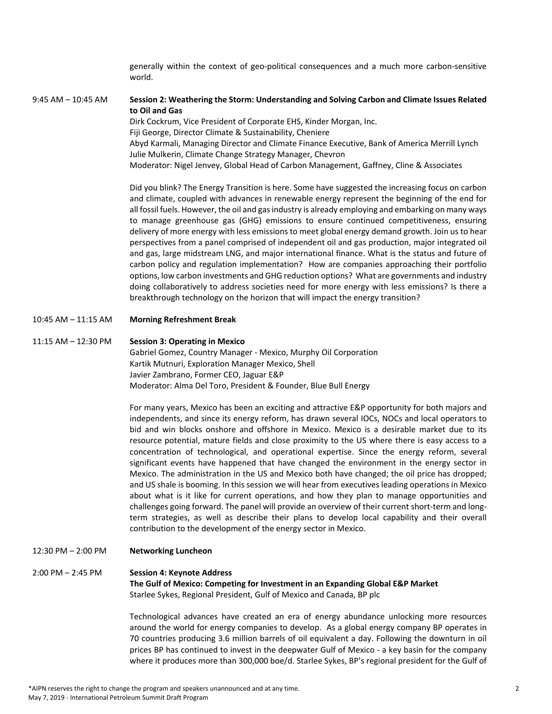generally within the context of geo‐political consequences and a much more carbon‐sensitive world.

9:45 AM – 10:45 AM **Session 2: Weathering the Storm: Understanding and Solving Carbon and Climate Issues Related to Oil and Gas** 

> Dirk Cockrum, Vice President of Corporate EHS, Kinder Morgan, Inc. Fiji George, Director Climate & Sustainability, Cheniere Abyd Karmali, Managing Director and Climate Finance Executive, Bank of America Merrill Lynch Julie Mulkerin, Climate Change Strategy Manager, Chevron Moderator: Nigel Jenvey, Global Head of Carbon Management, Gaffney, Cline & Associates

Did you blink? The Energy Transition is here. Some have suggested the increasing focus on carbon and climate, coupled with advances in renewable energy represent the beginning of the end for all fossil fuels. However, the oil and gas industry is already employing and embarking on many ways to manage greenhouse gas (GHG) emissions to ensure continued competitiveness, ensuring delivery of more energy with less emissions to meet global energy demand growth. Join us to hear perspectives from a panel comprised of independent oil and gas production, major integrated oil and gas, large midstream LNG, and major international finance. What is the status and future of carbon policy and regulation implementation? How are companies approaching their portfolio options, low carbon investments and GHG reduction options? What are governments and industry doing collaboratively to address societies need for more energy with less emissions? Is there a breakthrough technology on the horizon that will impact the energy transition?

10:45 AM – 11:15 AM **Morning Refreshment Break** 

#### 11:15 AM – 12:30 PM **Session 3: Operating in Mexico**

Gabriel Gomez, Country Manager ‐ Mexico, Murphy Oil Corporation Kartik Mutnuri, Exploration Manager Mexico, Shell Javier Zambrano, Former CEO, Jaguar E&P Moderator: Alma Del Toro, President & Founder, Blue Bull Energy

For many years, Mexico has been an exciting and attractive E&P opportunity for both majors and independents, and since its energy reform, has drawn several IOCs, NOCs and local operators to bid and win blocks onshore and offshore in Mexico. Mexico is a desirable market due to its resource potential, mature fields and close proximity to the US where there is easy access to a concentration of technological, and operational expertise. Since the energy reform, several significant events have happened that have changed the environment in the energy sector in Mexico. The administration in the US and Mexico both have changed; the oil price has dropped; and US shale is booming. In this session we will hear from executives leading operations in Mexico about what is it like for current operations, and how they plan to manage opportunities and challenges going forward. The panel will provide an overview of their current short‐term and long‐ term strategies, as well as describe their plans to develop local capability and their overall contribution to the development of the energy sector in Mexico.

12:30 PM – 2:00 PM **Networking Luncheon** 

# 2:00 PM – 2:45 PM **Session 4: Keynote Address**

**The Gulf of Mexico: Competing for Investment in an Expanding Global E&P Market**  Starlee Sykes, Regional President, Gulf of Mexico and Canada, BP plc

Technological advances have created an era of energy abundance unlocking more resources around the world for energy companies to develop. As a global energy company BP operates in 70 countries producing 3.6 million barrels of oil equivalent a day. Following the downturn in oil prices BP has continued to invest in the deepwater Gulf of Mexico ‐ a key basin for the company where it produces more than 300,000 boe/d. Starlee Sykes, BP's regional president for the Gulf of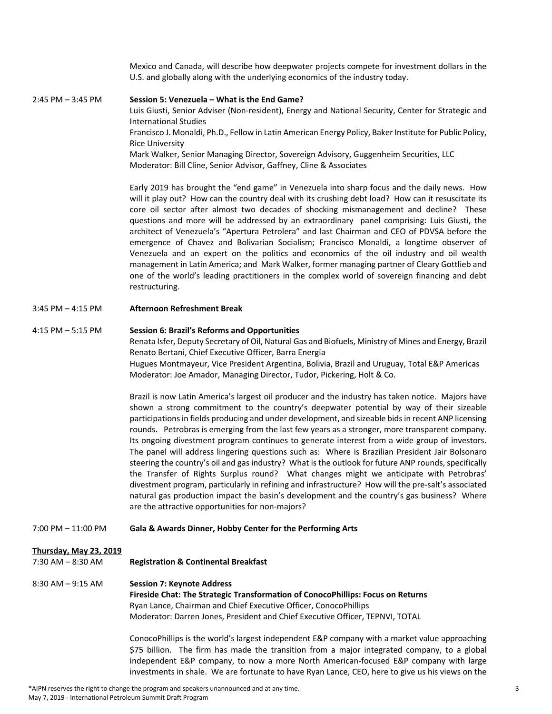Mexico and Canada, will describe how deepwater projects compete for investment dollars in the U.S. and globally along with the underlying economics of the industry today.

2:45 PM – 3:45 PM **Session 5: Venezuela – What is the End Game?** Luis Giusti, Senior Adviser (Non-resident), Energy and National Security, Center for Strategic and International Studies Francisco J. Monaldi, Ph.D., Fellow in Latin American Energy Policy, Baker Institute for Public Policy, Rice University Mark Walker, Senior Managing Director, Sovereign Advisory, Guggenheim Securities, LLC Moderator: Bill Cline, Senior Advisor, Gaffney, Cline & Associates

> Early 2019 has brought the "end game" in Venezuela into sharp focus and the daily news. How will it play out? How can the country deal with its crushing debt load? How can it resuscitate its core oil sector after almost two decades of shocking mismanagement and decline? These questions and more will be addressed by an extraordinary panel comprising: Luis Giusti, the architect of Venezuela's "Apertura Petrolera" and last Chairman and CEO of PDVSA before the emergence of Chavez and Bolivarian Socialism; Francisco Monaldi, a longtime observer of Venezuela and an expert on the politics and economics of the oil industry and oil wealth management in Latin America; and Mark Walker, former managing partner of Cleary Gottlieb and one of the world's leading practitioners in the complex world of sovereign financing and debt restructuring.

3:45 PM – 4:15 PM **Afternoon Refreshment Break**

#### 4:15 PM – 5:15 PM **Session 6: Brazil's Reforms and Opportunities**

Renata Isfer, Deputy Secretary of Oil, Natural Gas and Biofuels, Ministry of Mines and Energy, Brazil Renato Bertani, Chief Executive Officer, Barra Energia

Hugues Montmayeur, Vice President Argentina, Bolivia, Brazil and Uruguay, Total E&P Americas Moderator: Joe Amador, Managing Director, Tudor, Pickering, Holt & Co.

Brazil is now Latin America's largest oil producer and the industry has taken notice. Majors have shown a strong commitment to the country's deepwater potential by way of their sizeable participations in fields producing and under development, and sizeable bids in recent ANP licensing rounds. Petrobras is emerging from the last few years as a stronger, more transparent company. Its ongoing divestment program continues to generate interest from a wide group of investors. The panel will address lingering questions such as: Where is Brazilian President Jair Bolsonaro steering the country's oil and gas industry? What is the outlook for future ANP rounds, specifically the Transfer of Rights Surplus round? What changes might we anticipate with Petrobras' divestment program, particularly in refining and infrastructure? How will the pre‐salt's associated natural gas production impact the basin's development and the country's gas business? Where are the attractive opportunities for non-majors?

7:00 PM – 11:00 PM **Gala & Awards Dinner, Hobby Center for the Performing Arts**

#### **Thursday, May 23, 2019**

### 7:30 AM – 8:30 AM **Registration & Continental Breakfast**

# 8:30 AM – 9:15 AM **Session 7: Keynote Address**

**Fireside Chat: The Strategic Transformation of ConocoPhillips: Focus on Returns**  Ryan Lance, Chairman and Chief Executive Officer, ConocoPhillips Moderator: Darren Jones, President and Chief Executive Officer, TEPNVI, TOTAL

ConocoPhillips is the world's largest independent E&P company with a market value approaching \$75 billion. The firm has made the transition from a major integrated company, to a global independent E&P company, to now a more North American-focused E&P company with large investments in shale. We are fortunate to have Ryan Lance, CEO, here to give us his views on the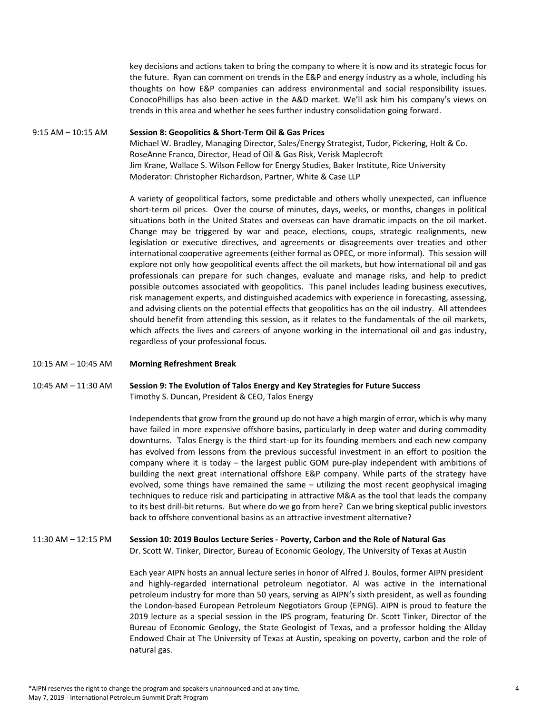key decisions and actions taken to bring the company to where it is now and its strategic focus for the future. Ryan can comment on trends in the E&P and energy industry as a whole, including his thoughts on how E&P companies can address environmental and social responsibility issues. ConocoPhillips has also been active in the A&D market. We'll ask him his company's views on trends in this area and whether he sees further industry consolidation going forward.

## 9:15 AM – 10:15 AM **Session 8: Geopolitics & Short‐Term Oil & Gas Prices**  Michael W. Bradley, Managing Director, Sales/Energy Strategist, Tudor, Pickering, Holt & Co. RoseAnne Franco, Director, Head of Oil & Gas Risk, Verisk Maplecroft Jim Krane, Wallace S. Wilson Fellow for Energy Studies, Baker Institute, Rice University Moderator: Christopher Richardson, Partner, White & Case LLP

A variety of geopolitical factors, some predictable and others wholly unexpected, can influence short-term oil prices. Over the course of minutes, days, weeks, or months, changes in political situations both in the United States and overseas can have dramatic impacts on the oil market. Change may be triggered by war and peace, elections, coups, strategic realignments, new legislation or executive directives, and agreements or disagreements over treaties and other international cooperative agreements (either formal as OPEC, or more informal). This session will explore not only how geopolitical events affect the oil markets, but how international oil and gas professionals can prepare for such changes, evaluate and manage risks, and help to predict possible outcomes associated with geopolitics. This panel includes leading business executives, risk management experts, and distinguished academics with experience in forecasting, assessing, and advising clients on the potential effects that geopolitics has on the oil industry. All attendees should benefit from attending this session, as it relates to the fundamentals of the oil markets, which affects the lives and careers of anyone working in the international oil and gas industry, regardless of your professional focus.

10:15 AM – 10:45 AM **Morning Refreshment Break**

## 10:45 AM – 11:30 AM **Session 9: The Evolution of Talos Energy and Key Strategies for Future Success** Timothy S. Duncan, President & CEO, Talos Energy

Independents that grow from the ground up do not have a high margin of error, which is why many have failed in more expensive offshore basins, particularly in deep water and during commodity downturns. Talos Energy is the third start‐up for its founding members and each new company has evolved from lessons from the previous successful investment in an effort to position the company where it is today – the largest public GOM pure-play independent with ambitions of building the next great international offshore E&P company. While parts of the strategy have evolved, some things have remained the same – utilizing the most recent geophysical imaging techniques to reduce risk and participating in attractive M&A as the tool that leads the company to its best drill‐bit returns. But where do we go from here? Can we bring skeptical public investors back to offshore conventional basins as an attractive investment alternative?

# 11:30 AM – 12:15 PM **Session 10: 2019 Boulos Lecture Series ‐ Poverty, Carbon and the Role of Natural Gas**

Dr. Scott W. Tinker, Director, Bureau of Economic Geology, The University of Texas at Austin

Each year AIPN hosts an annual lecture series in honor of Alfred J. Boulos, former AIPN president and highly-regarded international petroleum negotiator. Al was active in the international petroleum industry for more than 50 years, serving as AIPN's sixth president, as well as founding the London‐based European Petroleum Negotiators Group (EPNG). AIPN is proud to feature the 2019 lecture as a special session in the IPS program, featuring Dr. Scott Tinker, Director of the Bureau of Economic Geology, the State Geologist of Texas, and a professor holding the Allday Endowed Chair at The University of Texas at Austin, speaking on poverty, carbon and the role of natural gas.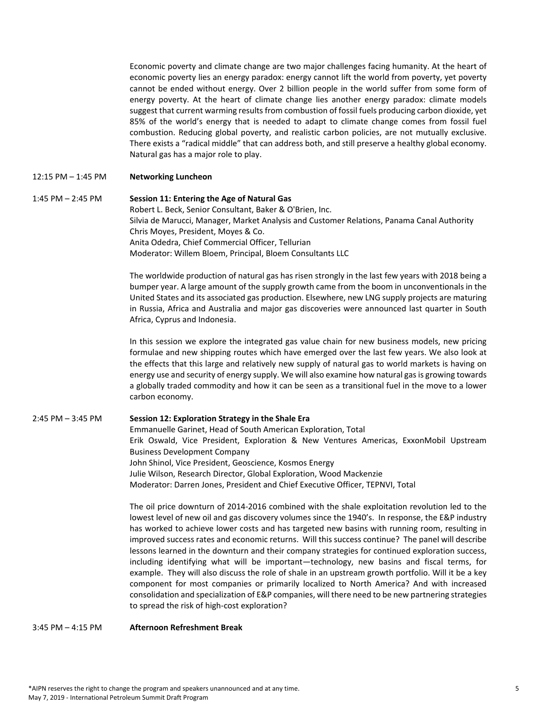Economic poverty and climate change are two major challenges facing humanity. At the heart of economic poverty lies an energy paradox: energy cannot lift the world from poverty, yet poverty cannot be ended without energy. Over 2 billion people in the world suffer from some form of energy poverty. At the heart of climate change lies another energy paradox: climate models suggest that current warming results from combustion of fossil fuels producing carbon dioxide, yet 85% of the world's energy that is needed to adapt to climate change comes from fossil fuel combustion. Reducing global poverty, and realistic carbon policies, are not mutually exclusive. There exists a "radical middle" that can address both, and still preserve a healthy global economy. Natural gas has a major role to play.

#### 12:15 PM – 1:45 PM **Networking Luncheon**

1:45 PM – 2:45 PM **Session 11: Entering the Age of Natural Gas** Robert L. Beck, Senior Consultant, Baker & O'Brien, Inc. Silvia de Marucci, Manager, Market Analysis and Customer Relations, Panama Canal Authority Chris Moyes, President, Moyes & Co. Anita Odedra, Chief Commercial Officer, Tellurian Moderator: Willem Bloem, Principal, Bloem Consultants LLC

> The worldwide production of natural gas has risen strongly in the last few years with 2018 being a bumper year. A large amount of the supply growth came from the boom in unconventionals in the United States and its associated gas production. Elsewhere, new LNG supply projects are maturing in Russia, Africa and Australia and major gas discoveries were announced last quarter in South Africa, Cyprus and Indonesia.

> In this session we explore the integrated gas value chain for new business models, new pricing formulae and new shipping routes which have emerged over the last few years. We also look at the effects that this large and relatively new supply of natural gas to world markets is having on energy use and security of energy supply. We will also examine how natural gas is growing towards a globally traded commodity and how it can be seen as a transitional fuel in the move to a lower carbon economy.

#### 2:45 PM – 3:45 PM **Session 12: Exploration Strategy in the Shale Era**

 Emmanuelle Garinet, Head of South American Exploration, Total Erik Oswald, Vice President, Exploration & New Ventures Americas, ExxonMobil Upstream Business Development Company John Shinol, Vice President, Geoscience, Kosmos Energy Julie Wilson, Research Director, Global Exploration, Wood Mackenzie Moderator: Darren Jones, President and Chief Executive Officer, TEPNVI, Total

The oil price downturn of 2014‐2016 combined with the shale exploitation revolution led to the lowest level of new oil and gas discovery volumes since the 1940's. In response, the E&P industry has worked to achieve lower costs and has targeted new basins with running room, resulting in improved success rates and economic returns. Will this success continue? The panel will describe lessons learned in the downturn and their company strategies for continued exploration success, including identifying what will be important—technology, new basins and fiscal terms, for example. They will also discuss the role of shale in an upstream growth portfolio. Will it be a key component for most companies or primarily localized to North America? And with increased consolidation and specialization of E&P companies, will there need to be new partnering strategies to spread the risk of high‐cost exploration?

3:45 PM – 4:15 PM **Afternoon Refreshment Break**